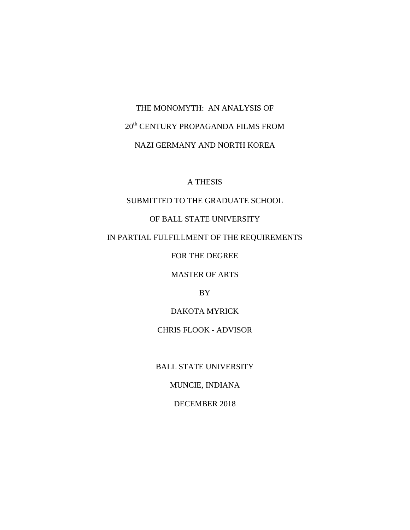# THE MONOMYTH: AN ANALYSIS OF 20th CENTURY PROPAGANDA FILMS FROM NAZI GERMANY AND NORTH KOREA

## A THESIS

# SUBMITTED TO THE GRADUATE SCHOOL

# OF BALL STATE UNIVERSITY

## IN PARTIAL FULFILLMENT OF THE REQUIREMENTS

FOR THE DEGREE

MASTER OF ARTS

BY

DAKOTA MYRICK

CHRIS FLOOK - ADVISOR

BALL STATE UNIVERSITY

MUNCIE, INDIANA

DECEMBER 2018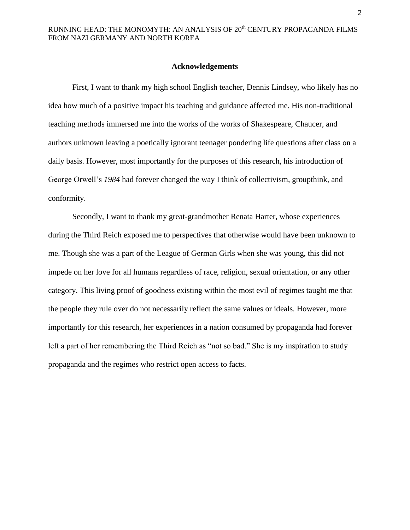#### **Acknowledgements**

First, I want to thank my high school English teacher, Dennis Lindsey, who likely has no idea how much of a positive impact his teaching and guidance affected me. His non-traditional teaching methods immersed me into the works of the works of Shakespeare, Chaucer, and authors unknown leaving a poetically ignorant teenager pondering life questions after class on a daily basis. However, most importantly for the purposes of this research, his introduction of George Orwell's *1984* had forever changed the way I think of collectivism, groupthink, and conformity.

Secondly, I want to thank my great-grandmother Renata Harter, whose experiences during the Third Reich exposed me to perspectives that otherwise would have been unknown to me. Though she was a part of the League of German Girls when she was young, this did not impede on her love for all humans regardless of race, religion, sexual orientation, or any other category. This living proof of goodness existing within the most evil of regimes taught me that the people they rule over do not necessarily reflect the same values or ideals. However, more importantly for this research, her experiences in a nation consumed by propaganda had forever left a part of her remembering the Third Reich as "not so bad." She is my inspiration to study propaganda and the regimes who restrict open access to facts.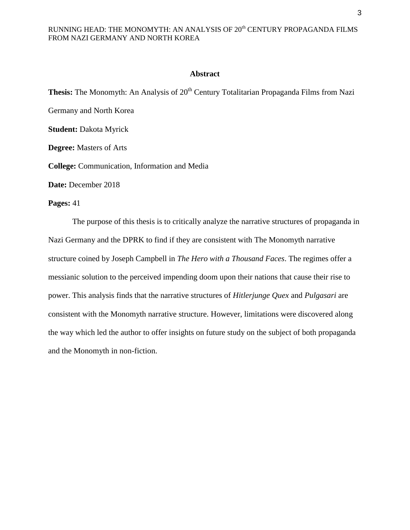#### **Abstract**

**Thesis:** The Monomyth: An Analysis of 20<sup>th</sup> Century Totalitarian Propaganda Films from Nazi Germany and North Korea **Student:** Dakota Myrick **Degree:** Masters of Arts **College:** Communication, Information and Media **Date:** December 2018

#### **Pages:** 41

The purpose of this thesis is to critically analyze the narrative structures of propaganda in Nazi Germany and the DPRK to find if they are consistent with The Monomyth narrative structure coined by Joseph Campbell in *The Hero with a Thousand Faces*. The regimes offer a messianic solution to the perceived impending doom upon their nations that cause their rise to power. This analysis finds that the narrative structures of *Hitlerjunge Quex* and *Pulgasari* are consistent with the Monomyth narrative structure. However, limitations were discovered along the way which led the author to offer insights on future study on the subject of both propaganda and the Monomyth in non-fiction.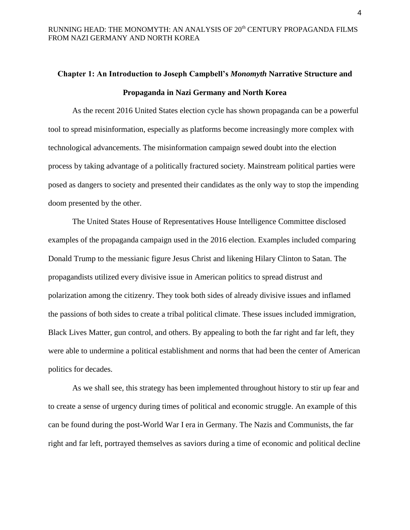# **Chapter 1: An Introduction to Joseph Campbell's** *Monomyth* **Narrative Structure and Propaganda in Nazi Germany and North Korea**

As the recent 2016 United States election cycle has shown propaganda can be a powerful tool to spread misinformation, especially as platforms become increasingly more complex with technological advancements. The misinformation campaign sewed doubt into the election process by taking advantage of a politically fractured society. Mainstream political parties were posed as dangers to society and presented their candidates as the only way to stop the impending doom presented by the other.

The United States House of Representatives House Intelligence Committee disclosed examples of the propaganda campaign used in the 2016 election. Examples included comparing Donald Trump to the messianic figure Jesus Christ and likening Hilary Clinton to Satan. The propagandists utilized every divisive issue in American politics to spread distrust and polarization among the citizenry. They took both sides of already divisive issues and inflamed the passions of both sides to create a tribal political climate. These issues included immigration, Black Lives Matter, gun control, and others. By appealing to both the far right and far left, they were able to undermine a political establishment and norms that had been the center of American politics for decades.

As we shall see, this strategy has been implemented throughout history to stir up fear and to create a sense of urgency during times of political and economic struggle. An example of this can be found during the post-World War I era in Germany. The Nazis and Communists, the far right and far left, portrayed themselves as saviors during a time of economic and political decline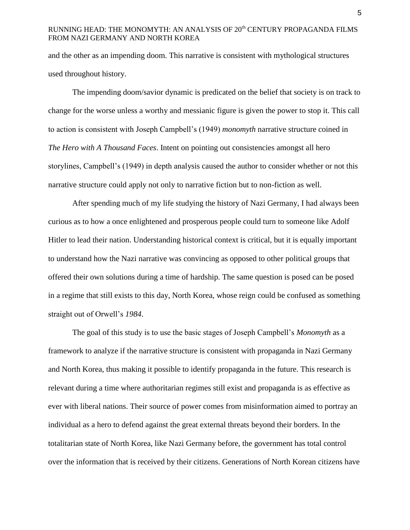and the other as an impending doom. This narrative is consistent with mythological structures used throughout history.

The impending doom/savior dynamic is predicated on the belief that society is on track to change for the worse unless a worthy and messianic figure is given the power to stop it. This call to action is consistent with Joseph Campbell's (1949) *monomyth* narrative structure coined in *The Hero with A Thousand Faces*. Intent on pointing out consistencies amongst all hero storylines, Campbell's (1949) in depth analysis caused the author to consider whether or not this narrative structure could apply not only to narrative fiction but to non-fiction as well.

After spending much of my life studying the history of Nazi Germany, I had always been curious as to how a once enlightened and prosperous people could turn to someone like Adolf Hitler to lead their nation. Understanding historical context is critical, but it is equally important to understand how the Nazi narrative was convincing as opposed to other political groups that offered their own solutions during a time of hardship. The same question is posed can be posed in a regime that still exists to this day, North Korea, whose reign could be confused as something straight out of Orwell's *1984*.

The goal of this study is to use the basic stages of Joseph Campbell's *Monomyth* as a framework to analyze if the narrative structure is consistent with propaganda in Nazi Germany and North Korea, thus making it possible to identify propaganda in the future. This research is relevant during a time where authoritarian regimes still exist and propaganda is as effective as ever with liberal nations. Their source of power comes from misinformation aimed to portray an individual as a hero to defend against the great external threats beyond their borders. In the totalitarian state of North Korea, like Nazi Germany before, the government has total control over the information that is received by their citizens. Generations of North Korean citizens have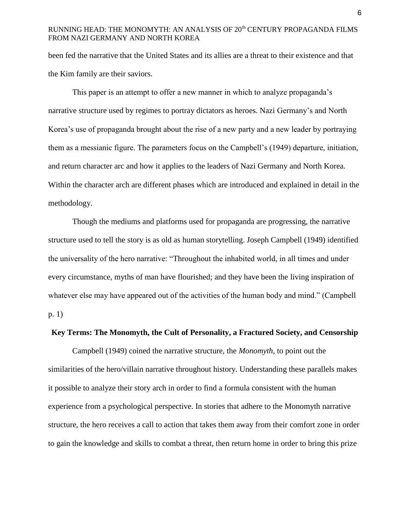been fed the narrative that the United States and its allies are a threat to their existence and that the Kim family are their saviors.

This paper is an attempt to offer a new manner in which to analyze propaganda's narrative structure used by regimes to portray dictators as heroes. Nazi Germany's and North Korea's use of propaganda brought about the rise of a new party and a new leader by portraying them as a messianic figure. The parameters focus on the Campbell's (1949) departure, initiation, and return character arc and how it applies to the leaders of Nazi Germany and North Korea. Within the character arch are different phases which are introduced and explained in detail in the methodology.

Though the mediums and platforms used for propaganda are progressing, the narrative structure used to tell the story is as old as human storytelling. Joseph Campbell (1949) identified the universality of the hero narrative: "Throughout the inhabited world, in all times and under every circumstance, myths of man have flourished; and they have been the living inspiration of whatever else may have appeared out of the activities of the human body and mind." (Campbell p. 1)

## **Key Terms: The Monomyth, the Cult of Personality, a Fractured Society, and Censorship**

Campbell (1949) coined the narrative structure, the *Monomyth*, to point out the similarities of the hero/villain narrative throughout history. Understanding these parallels makes it possible to analyze their story arch in order to find a formula consistent with the human experience from a psychological perspective. In stories that adhere to the Monomyth narrative structure, the hero receives a call to action that takes them away from their comfort zone in order to gain the knowledge and skills to combat a threat, then return home in order to bring this prize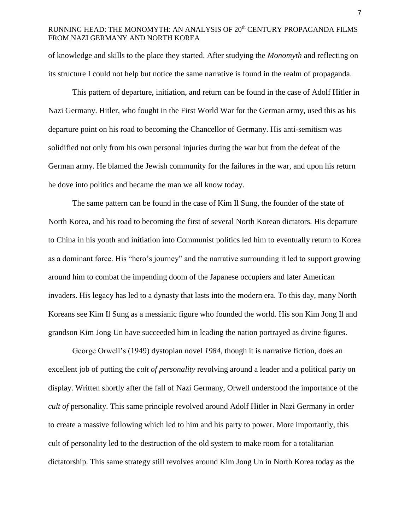of knowledge and skills to the place they started. After studying the *Monomyth* and reflecting on its structure I could not help but notice the same narrative is found in the realm of propaganda.

This pattern of departure, initiation, and return can be found in the case of Adolf Hitler in Nazi Germany. Hitler, who fought in the First World War for the German army, used this as his departure point on his road to becoming the Chancellor of Germany. His anti-semitism was solidified not only from his own personal injuries during the war but from the defeat of the German army. He blamed the Jewish community for the failures in the war, and upon his return he dove into politics and became the man we all know today.

The same pattern can be found in the case of Kim Il Sung, the founder of the state of North Korea, and his road to becoming the first of several North Korean dictators. His departure to China in his youth and initiation into Communist politics led him to eventually return to Korea as a dominant force. His "hero's journey" and the narrative surrounding it led to support growing around him to combat the impending doom of the Japanese occupiers and later American invaders. His legacy has led to a dynasty that lasts into the modern era. To this day, many North Koreans see Kim Il Sung as a messianic figure who founded the world. His son Kim Jong Il and grandson Kim Jong Un have succeeded him in leading the nation portrayed as divine figures.

George Orwell's (1949) dystopian novel *1984*, though it is narrative fiction, does an excellent job of putting the *cult of personality* revolving around a leader and a political party on display. Written shortly after the fall of Nazi Germany, Orwell understood the importance of the *cult of personality.* This same principle revolved around Adolf Hitler in Nazi Germany in order to create a massive following which led to him and his party to power. More importantly, this cult of personality led to the destruction of the old system to make room for a totalitarian dictatorship. This same strategy still revolves around Kim Jong Un in North Korea today as the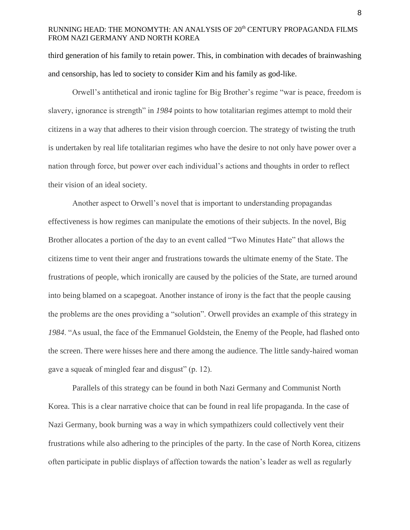third generation of his family to retain power. This, in combination with decades of brainwashing and censorship, has led to society to consider Kim and his family as god-like.

Orwell's antithetical and ironic tagline for Big Brother's regime "war is peace, freedom is slavery, ignorance is strength" in *1984* points to how totalitarian regimes attempt to mold their citizens in a way that adheres to their vision through coercion. The strategy of twisting the truth is undertaken by real life totalitarian regimes who have the desire to not only have power over a nation through force, but power over each individual's actions and thoughts in order to reflect their vision of an ideal society.

 Another aspect to Orwell's novel that is important to understanding propagandas effectiveness is how regimes can manipulate the emotions of their subjects. In the novel, Big Brother allocates a portion of the day to an event called "Two Minutes Hate" that allows the citizens time to vent their anger and frustrations towards the ultimate enemy of the State. The frustrations of people, which ironically are caused by the policies of the State, are turned around into being blamed on a scapegoat. Another instance of irony is the fact that the people causing the problems are the ones providing a "solution". Orwell provides an example of this strategy in *1984*. "As usual, the face of the Emmanuel Goldstein, the Enemy of the People, had flashed onto the screen. There were hisses here and there among the audience. The little sandy-haired woman gave a squeak of mingled fear and disgust" (p. 12).

Parallels of this strategy can be found in both Nazi Germany and Communist North Korea. This is a clear narrative choice that can be found in real life propaganda. In the case of Nazi Germany, book burning was a way in which sympathizers could collectively vent their frustrations while also adhering to the principles of the party. In the case of North Korea, citizens often participate in public displays of affection towards the nation's leader as well as regularly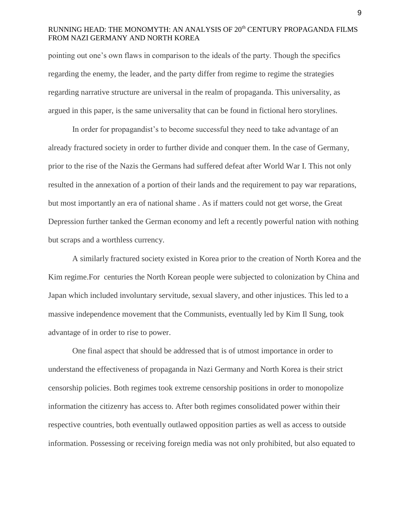pointing out one's own flaws in comparison to the ideals of the party. Though the specifics regarding the enemy, the leader, and the party differ from regime to regime the strategies regarding narrative structure are universal in the realm of propaganda. This universality, as argued in this paper, is the same universality that can be found in fictional hero storylines.

In order for propagandist's to become successful they need to take advantage of an already fractured society in order to further divide and conquer them. In the case of Germany, prior to the rise of the Nazis the Germans had suffered defeat after World War I. This not only resulted in the annexation of a portion of their lands and the requirement to pay war reparations, but most importantly an era of national shame . As if matters could not get worse, the Great Depression further tanked the German economy and left a recently powerful nation with nothing but scraps and a worthless currency.

A similarly fractured society existed in Korea prior to the creation of North Korea and the Kim regime.For centuries the North Korean people were subjected to colonization by China and Japan which included involuntary servitude, sexual slavery, and other injustices. This led to a massive independence movement that the Communists, eventually led by Kim Il Sung, took advantage of in order to rise to power.

One final aspect that should be addressed that is of utmost importance in order to understand the effectiveness of propaganda in Nazi Germany and North Korea is their strict censorship policies. Both regimes took extreme censorship positions in order to monopolize information the citizenry has access to. After both regimes consolidated power within their respective countries, both eventually outlawed opposition parties as well as access to outside information. Possessing or receiving foreign media was not only prohibited, but also equated to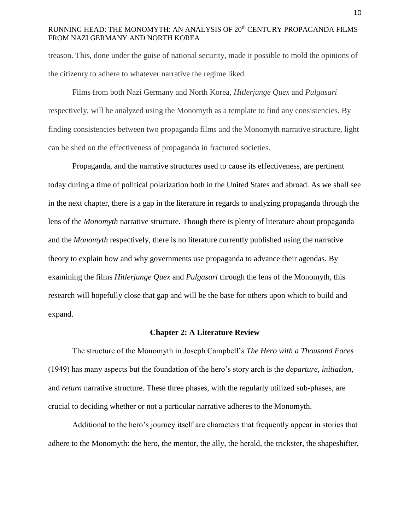treason. This, done under the guise of national security, made it possible to mold the opinions of the citizenry to adhere to whatever narrative the regime liked.

Films from both Nazi Germany and North Korea, *Hitlerjunge Quex* and *Pulgasari*  respectively, will be analyzed using the Monomyth as a template to find any consistencies. By finding consistencies between two propaganda films and the Monomyth narrative structure, light can be shed on the effectiveness of propaganda in fractured societies.

Propaganda, and the narrative structures used to cause its effectiveness, are pertinent today during a time of political polarization both in the United States and abroad. As we shall see in the next chapter, there is a gap in the literature in regards to analyzing propaganda through the lens of the *Monomyth* narrative structure. Though there is plenty of literature about propaganda and the *Monomyth* respectively, there is no literature currently published using the narrative theory to explain how and why governments use propaganda to advance their agendas. By examining the films *Hitlerjunge Quex* and *Pulgasari* through the lens of the Monomyth, this research will hopefully close that gap and will be the base for others upon which to build and expand.

#### **Chapter 2: A Literature Review**

The structure of the Monomyth in Joseph Campbell's *The Hero with a Thousand Faces*  (1949) has many aspects but the foundation of the hero's story arch is the *departure*, *initiation*, and *return* narrative structure. These three phases, with the regularly utilized sub-phases, are crucial to deciding whether or not a particular narrative adheres to the Monomyth.

Additional to the hero's journey itself are characters that frequently appear in stories that adhere to the Monomyth: the hero, the mentor, the ally, the herald, the trickster, the shapeshifter,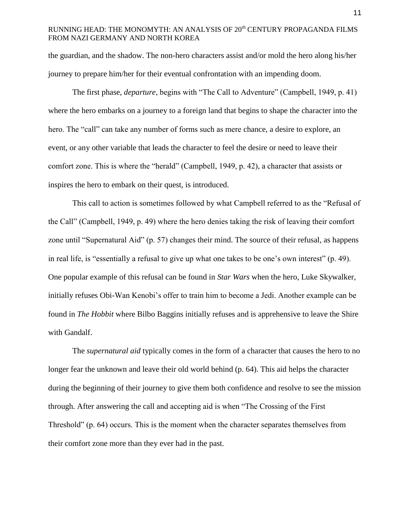the guardian, and the shadow. The non-hero characters assist and/or mold the hero along his/her journey to prepare him/her for their eventual confrontation with an impending doom.

The first phase, *departure*, begins with "The Call to Adventure" (Campbell, 1949, p. 41) where the hero embarks on a journey to a foreign land that begins to shape the character into the hero. The "call" can take any number of forms such as mere chance, a desire to explore, an event, or any other variable that leads the character to feel the desire or need to leave their comfort zone. This is where the "herald" (Campbell, 1949, p. 42), a character that assists or inspires the hero to embark on their quest, is introduced.

This call to action is sometimes followed by what Campbell referred to as the "Refusal of the Call" (Campbell, 1949, p. 49) where the hero denies taking the risk of leaving their comfort zone until "Supernatural Aid" (p. 57) changes their mind. The source of their refusal, as happens in real life, is "essentially a refusal to give up what one takes to be one's own interest" (p. 49). One popular example of this refusal can be found in *Star Wars* when the hero, Luke Skywalker, initially refuses Obi-Wan Kenobi's offer to train him to become a Jedi. Another example can be found in *The Hobbit* where Bilbo Baggins initially refuses and is apprehensive to leave the Shire with Gandalf.

The *supernatural aid* typically comes in the form of a character that causes the hero to no longer fear the unknown and leave their old world behind (p. 64). This aid helps the character during the beginning of their journey to give them both confidence and resolve to see the mission through. After answering the call and accepting aid is when "The Crossing of the First Threshold" (p. 64) occurs. This is the moment when the character separates themselves from their comfort zone more than they ever had in the past.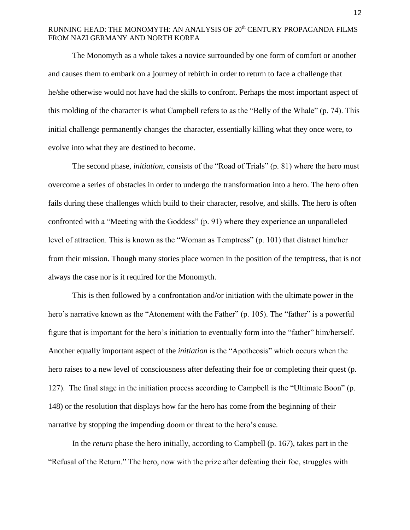The Monomyth as a whole takes a novice surrounded by one form of comfort or another and causes them to embark on a journey of rebirth in order to return to face a challenge that he/she otherwise would not have had the skills to confront. Perhaps the most important aspect of this molding of the character is what Campbell refers to as the "Belly of the Whale" (p. 74). This initial challenge permanently changes the character, essentially killing what they once were, to evolve into what they are destined to become.

The second phase, *initiation*, consists of the "Road of Trials" (p. 81) where the hero must overcome a series of obstacles in order to undergo the transformation into a hero. The hero often fails during these challenges which build to their character, resolve, and skills. The hero is often confronted with a "Meeting with the Goddess" (p. 91) where they experience an unparalleled level of attraction. This is known as the "Woman as Temptress" (p. 101) that distract him/her from their mission. Though many stories place women in the position of the temptress, that is not always the case nor is it required for the Monomyth.

This is then followed by a confrontation and/or initiation with the ultimate power in the hero's narrative known as the "Atonement with the Father" (p. 105). The "father" is a powerful figure that is important for the hero's initiation to eventually form into the "father" him/herself. Another equally important aspect of the *initiation* is the "Apotheosis" which occurs when the hero raises to a new level of consciousness after defeating their foe or completing their quest (p. 127). The final stage in the initiation process according to Campbell is the "Ultimate Boon" (p. 148) or the resolution that displays how far the hero has come from the beginning of their narrative by stopping the impending doom or threat to the hero's cause.

In the *return* phase the hero initially, according to Campbell (p. 167), takes part in the "Refusal of the Return." The hero, now with the prize after defeating their foe, struggles with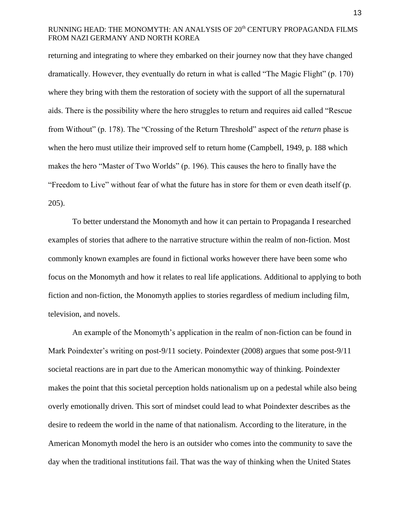returning and integrating to where they embarked on their journey now that they have changed dramatically. However, they eventually do return in what is called "The Magic Flight" (p. 170) where they bring with them the restoration of society with the support of all the supernatural aids. There is the possibility where the hero struggles to return and requires aid called "Rescue from Without" (p. 178). The "Crossing of the Return Threshold" aspect of the *return* phase is when the hero must utilize their improved self to return home (Campbell, 1949, p. 188 which makes the hero "Master of Two Worlds" (p. 196). This causes the hero to finally have the "Freedom to Live" without fear of what the future has in store for them or even death itself (p. 205).

To better understand the Monomyth and how it can pertain to Propaganda I researched examples of stories that adhere to the narrative structure within the realm of non-fiction. Most commonly known examples are found in fictional works however there have been some who focus on the Monomyth and how it relates to real life applications. Additional to applying to both fiction and non-fiction, the Monomyth applies to stories regardless of medium including film, television, and novels.

An example of the Monomyth's application in the realm of non-fiction can be found in Mark Poindexter's writing on post-9/11 society. Poindexter (2008) argues that some post-9/11 societal reactions are in part due to the American monomythic way of thinking. Poindexter makes the point that this societal perception holds nationalism up on a pedestal while also being overly emotionally driven. This sort of mindset could lead to what Poindexter describes as the desire to redeem the world in the name of that nationalism. According to the literature, in the American Monomyth model the hero is an outsider who comes into the community to save the day when the traditional institutions fail. That was the way of thinking when the United States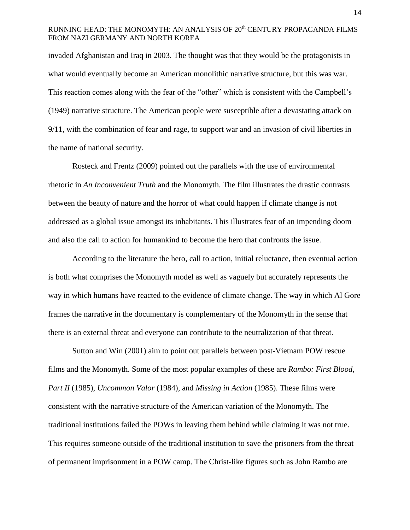invaded Afghanistan and Iraq in 2003. The thought was that they would be the protagonists in what would eventually become an American monolithic narrative structure, but this was war. This reaction comes along with the fear of the "other" which is consistent with the Campbell's (1949) narrative structure. The American people were susceptible after a devastating attack on 9/11, with the combination of fear and rage, to support war and an invasion of civil liberties in the name of national security.

Rosteck and Frentz (2009) pointed out the parallels with the use of environmental rhetoric in *An Inconvenient Truth* and the Monomyth. The film illustrates the drastic contrasts between the beauty of nature and the horror of what could happen if climate change is not addressed as a global issue amongst its inhabitants. This illustrates fear of an impending doom and also the call to action for humankind to become the hero that confronts the issue.

 According to the literature the hero, call to action, initial reluctance, then eventual action is both what comprises the Monomyth model as well as vaguely but accurately represents the way in which humans have reacted to the evidence of climate change. The way in which Al Gore frames the narrative in the documentary is complementary of the Monomyth in the sense that there is an external threat and everyone can contribute to the neutralization of that threat.

Sutton and Win (2001) aim to point out parallels between post-Vietnam POW rescue films and the Monomyth. Some of the most popular examples of these are *Rambo: First Blood, Part II* (1985), *Uncommon Valor* (1984), and *Missing in Action* (1985). These films were consistent with the narrative structure of the American variation of the Monomyth. The traditional institutions failed the POWs in leaving them behind while claiming it was not true. This requires someone outside of the traditional institution to save the prisoners from the threat of permanent imprisonment in a POW camp. The Christ-like figures such as John Rambo are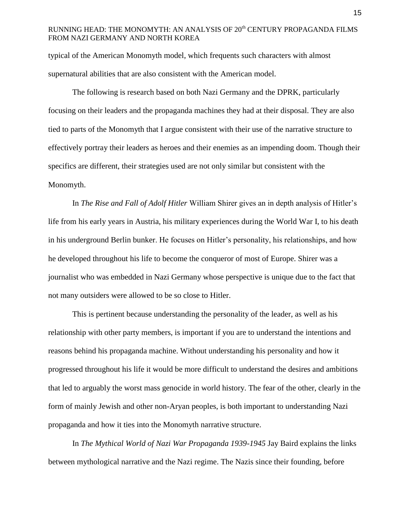typical of the American Monomyth model, which frequents such characters with almost supernatural abilities that are also consistent with the American model.

The following is research based on both Nazi Germany and the DPRK, particularly focusing on their leaders and the propaganda machines they had at their disposal. They are also tied to parts of the Monomyth that I argue consistent with their use of the narrative structure to effectively portray their leaders as heroes and their enemies as an impending doom. Though their specifics are different, their strategies used are not only similar but consistent with the Monomyth.

In *The Rise and Fall of Adolf Hitler* William Shirer gives an in depth analysis of Hitler's life from his early years in Austria, his military experiences during the World War I, to his death in his underground Berlin bunker. He focuses on Hitler's personality, his relationships, and how he developed throughout his life to become the conqueror of most of Europe. Shirer was a journalist who was embedded in Nazi Germany whose perspective is unique due to the fact that not many outsiders were allowed to be so close to Hitler.

This is pertinent because understanding the personality of the leader, as well as his relationship with other party members, is important if you are to understand the intentions and reasons behind his propaganda machine. Without understanding his personality and how it progressed throughout his life it would be more difficult to understand the desires and ambitions that led to arguably the worst mass genocide in world history. The fear of the other, clearly in the form of mainly Jewish and other non-Aryan peoples, is both important to understanding Nazi propaganda and how it ties into the Monomyth narrative structure.

In *The Mythical World of Nazi War Propaganda 1939-1945* Jay Baird explains the links between mythological narrative and the Nazi regime. The Nazis since their founding, before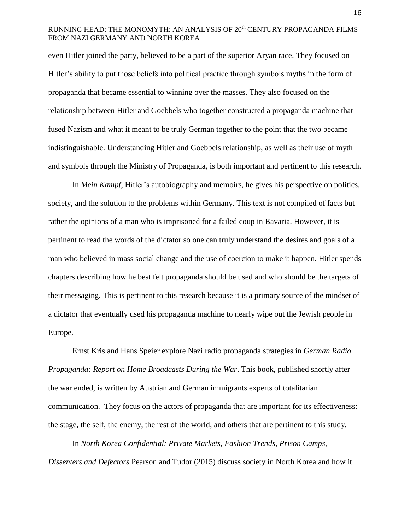even Hitler joined the party, believed to be a part of the superior Aryan race. They focused on Hitler's ability to put those beliefs into political practice through symbols myths in the form of propaganda that became essential to winning over the masses. They also focused on the relationship between Hitler and Goebbels who together constructed a propaganda machine that fused Nazism and what it meant to be truly German together to the point that the two became indistinguishable. Understanding Hitler and Goebbels relationship, as well as their use of myth and symbols through the Ministry of Propaganda, is both important and pertinent to this research.

In *Mein Kampf*, Hitler's autobiography and memoirs, he gives his perspective on politics, society, and the solution to the problems within Germany. This text is not compiled of facts but rather the opinions of a man who is imprisoned for a failed coup in Bavaria. However, it is pertinent to read the words of the dictator so one can truly understand the desires and goals of a man who believed in mass social change and the use of coercion to make it happen. Hitler spends chapters describing how he best felt propaganda should be used and who should be the targets of their messaging. This is pertinent to this research because it is a primary source of the mindset of a dictator that eventually used his propaganda machine to nearly wipe out the Jewish people in Europe.

Ernst Kris and Hans Speier explore Nazi radio propaganda strategies in *German Radio Propaganda: Report on Home Broadcasts During the War*. This book, published shortly after the war ended, is written by Austrian and German immigrants experts of totalitarian communication. They focus on the actors of propaganda that are important for its effectiveness: the stage, the self, the enemy, the rest of the world, and others that are pertinent to this study.

In *North Korea Confidential: Private Markets, Fashion Trends, Prison Camps, Dissenters and Defectors* Pearson and Tudor (2015) discuss society in North Korea and how it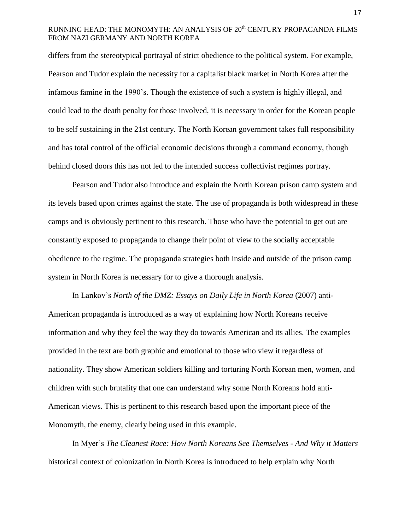differs from the stereotypical portrayal of strict obedience to the political system. For example, Pearson and Tudor explain the necessity for a capitalist black market in North Korea after the infamous famine in the 1990's. Though the existence of such a system is highly illegal, and could lead to the death penalty for those involved, it is necessary in order for the Korean people to be self sustaining in the 21st century. The North Korean government takes full responsibility and has total control of the official economic decisions through a command economy, though behind closed doors this has not led to the intended success collectivist regimes portray.

Pearson and Tudor also introduce and explain the North Korean prison camp system and its levels based upon crimes against the state. The use of propaganda is both widespread in these camps and is obviously pertinent to this research. Those who have the potential to get out are constantly exposed to propaganda to change their point of view to the socially acceptable obedience to the regime. The propaganda strategies both inside and outside of the prison camp system in North Korea is necessary for to give a thorough analysis.

In Lankov's *North of the DMZ: Essays on Daily Life in North Korea* (2007) anti-American propaganda is introduced as a way of explaining how North Koreans receive information and why they feel the way they do towards American and its allies. The examples provided in the text are both graphic and emotional to those who view it regardless of nationality. They show American soldiers killing and torturing North Korean men, women, and children with such brutality that one can understand why some North Koreans hold anti-American views. This is pertinent to this research based upon the important piece of the Monomyth, the enemy, clearly being used in this example.

In Myer's *The Cleanest Race: How North Koreans See Themselves - And Why it Matters*  historical context of colonization in North Korea is introduced to help explain why North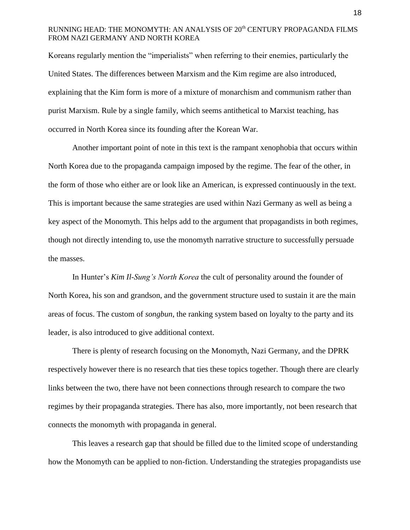Koreans regularly mention the "imperialists" when referring to their enemies, particularly the United States. The differences between Marxism and the Kim regime are also introduced, explaining that the Kim form is more of a mixture of monarchism and communism rather than purist Marxism. Rule by a single family, which seems antithetical to Marxist teaching, has occurred in North Korea since its founding after the Korean War.

Another important point of note in this text is the rampant xenophobia that occurs within North Korea due to the propaganda campaign imposed by the regime. The fear of the other, in the form of those who either are or look like an American, is expressed continuously in the text. This is important because the same strategies are used within Nazi Germany as well as being a key aspect of the Monomyth. This helps add to the argument that propagandists in both regimes, though not directly intending to, use the monomyth narrative structure to successfully persuade the masses.

In Hunter's *Kim Il-Sung's North Korea* the cult of personality around the founder of North Korea, his son and grandson, and the government structure used to sustain it are the main areas of focus. The custom of *songbun*, the ranking system based on loyalty to the party and its leader, is also introduced to give additional context.

There is plenty of research focusing on the Monomyth, Nazi Germany, and the DPRK respectively however there is no research that ties these topics together. Though there are clearly links between the two, there have not been connections through research to compare the two regimes by their propaganda strategies. There has also, more importantly, not been research that connects the monomyth with propaganda in general.

This leaves a research gap that should be filled due to the limited scope of understanding how the Monomyth can be applied to non-fiction. Understanding the strategies propagandists use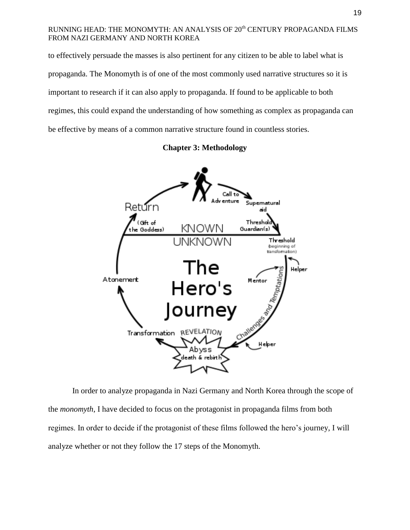to effectively persuade the masses is also pertinent for any citizen to be able to label what is propaganda. The Monomyth is of one of the most commonly used narrative structures so it is important to research if it can also apply to propaganda. If found to be applicable to both regimes, this could expand the understanding of how something as complex as propaganda can be effective by means of a common narrative structure found in countless stories.

**Chapter 3: Methodology**



In order to analyze propaganda in Nazi Germany and North Korea through the scope of the *monomyth*, I have decided to focus on the protagonist in propaganda films from both regimes. In order to decide if the protagonist of these films followed the hero's journey, I will analyze whether or not they follow the 17 steps of the Monomyth.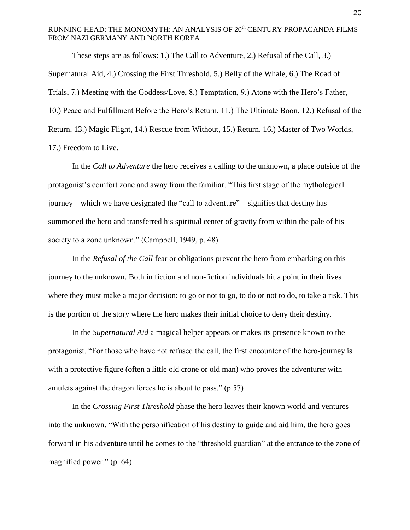These steps are as follows: 1.) The Call to Adventure, 2.) Refusal of the Call, 3.) Supernatural Aid, 4.) Crossing the First Threshold, 5.) Belly of the Whale, 6.) The Road of Trials, 7.) Meeting with the Goddess/Love, 8.) Temptation, 9.) Atone with the Hero's Father, 10.) Peace and Fulfillment Before the Hero's Return, 11.) The Ultimate Boon, 12.) Refusal of the Return, 13.) Magic Flight, 14.) Rescue from Without, 15.) Return. 16.) Master of Two Worlds, 17.) Freedom to Live.

In the *Call to Adventure* the hero receives a calling to the unknown, a place outside of the protagonist's comfort zone and away from the familiar. "This first stage of the mythological journey—which we have designated the "call to adventure"—signifies that destiny has summoned the hero and transferred his spiritual center of gravity from within the pale of his society to a zone unknown." (Campbell, 1949, p. 48)

In the *Refusal of the Call* fear or obligations prevent the hero from embarking on this journey to the unknown. Both in fiction and non-fiction individuals hit a point in their lives where they must make a major decision: to go or not to go, to do or not to do, to take a risk. This is the portion of the story where the hero makes their initial choice to deny their destiny.

In the *Supernatural Aid* a magical helper appears or makes its presence known to the protagonist. "For those who have not refused the call, the first encounter of the hero-journey is with a protective figure (often a little old crone or old man) who proves the adventurer with amulets against the dragon forces he is about to pass." (p.57)

In the *Crossing First Threshold* phase the hero leaves their known world and ventures into the unknown. "With the personification of his destiny to guide and aid him, the hero goes forward in his adventure until he comes to the "threshold guardian" at the entrance to the zone of magnified power." (p. 64)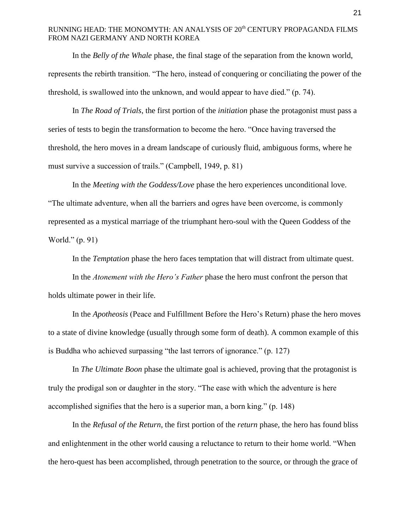In the *Belly of the Whale* phase, the final stage of the separation from the known world, represents the rebirth transition. "The hero, instead of conquering or conciliating the power of the threshold, is swallowed into the unknown, and would appear to have died." (p. 74).

In *The Road of Trials*, the first portion of the *initiation* phase the protagonist must pass a series of tests to begin the transformation to become the hero. "Once having traversed the threshold, the hero moves in a dream landscape of curiously fluid, ambiguous forms, where he must survive a succession of trails." (Campbell, 1949, p. 81)

In the *Meeting with the Goddess/Love* phase the hero experiences unconditional love. "The ultimate adventure, when all the barriers and ogres have been overcome, is commonly represented as a mystical marriage of the triumphant hero-soul with the Queen Goddess of the World." (p. 91)

In the *Temptation* phase the hero faces temptation that will distract from ultimate quest.

In the *Atonement with the Hero's Father* phase the hero must confront the person that holds ultimate power in their life.

In the *Apotheosis* (Peace and Fulfillment Before the Hero's Return) phase the hero moves to a state of divine knowledge (usually through some form of death). A common example of this is Buddha who achieved surpassing "the last terrors of ignorance." (p. 127)

In *The Ultimate Boon* phase the ultimate goal is achieved, proving that the protagonist is truly the prodigal son or daughter in the story. "The ease with which the adventure is here accomplished signifies that the hero is a superior man, a born king." (p. 148)

In the *Refusal of the Return*, the first portion of the *return* phase, the hero has found bliss and enlightenment in the other world causing a reluctance to return to their home world. "When the hero-quest has been accomplished, through penetration to the source, or through the grace of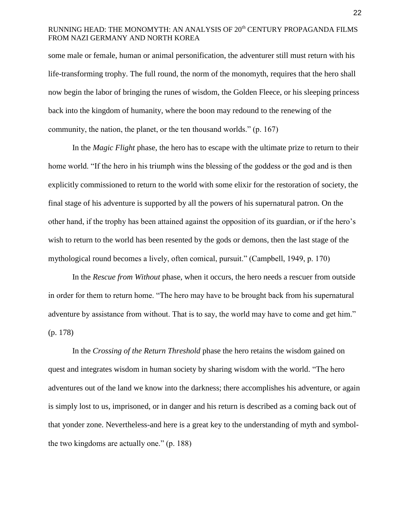some male or female, human or animal personification, the adventurer still must return with his life-transforming trophy. The full round, the norm of the monomyth, requires that the hero shall now begin the labor of bringing the runes of wisdom, the Golden Fleece, or his sleeping princess back into the kingdom of humanity, where the boon may redound to the renewing of the community, the nation, the planet, or the ten thousand worlds." (p. 167)

In the *Magic Flight* phase, the hero has to escape with the ultimate prize to return to their home world. "If the hero in his triumph wins the blessing of the goddess or the god and is then explicitly commissioned to return to the world with some elixir for the restoration of society, the final stage of his adventure is supported by all the powers of his supernatural patron. On the other hand, if the trophy has been attained against the opposition of its guardian, or if the hero's wish to return to the world has been resented by the gods or demons, then the last stage of the mythological round becomes a lively, often comical, pursuit." (Campbell, 1949, p. 170)

In the *Rescue from Without* phase, when it occurs, the hero needs a rescuer from outside in order for them to return home. "The hero may have to be brought back from his supernatural adventure by assistance from without. That is to say, the world may have to come and get him." (p. 178)

In the *Crossing of the Return Threshold* phase the hero retains the wisdom gained on quest and integrates wisdom in human society by sharing wisdom with the world. "The hero adventures out of the land we know into the darkness; there accomplishes his adventure, or again is simply lost to us, imprisoned, or in danger and his return is described as a coming back out of that yonder zone. Nevertheless-and here is a great key to the understanding of myth and symbolthe two kingdoms are actually one." (p. 188)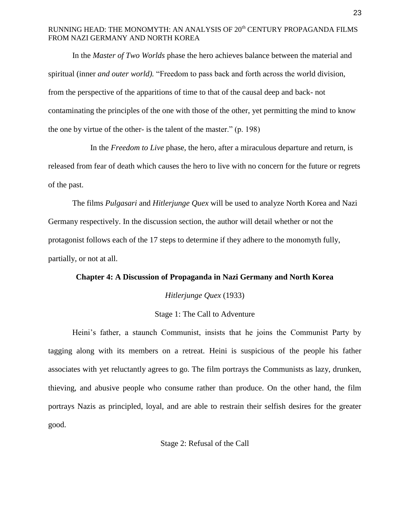In the *Master of Two Worlds* phase the hero achieves balance between the material and spiritual (inner *and outer world).* "Freedom to pass back and forth across the world division, from the perspective of the apparitions of time to that of the causal deep and back- not contaminating the principles of the one with those of the other, yet permitting the mind to know the one by virtue of the other- is the talent of the master." (p. 198)

In the *Freedom to Live* phase, the hero, after a miraculous departure and return, is released from fear of death which causes the hero to live with no concern for the future or regrets of the past.

The films *Pulgasari* and *Hitlerjunge Quex* will be used to analyze North Korea and Nazi Germany respectively. In the discussion section, the author will detail whether or not the protagonist follows each of the 17 steps to determine if they adhere to the monomyth fully, partially, or not at all.

#### **Chapter 4: A Discussion of Propaganda in Nazi Germany and North Korea**

#### *Hitlerjunge Quex* (1933)

## Stage 1: The Call to Adventure

Heini's father, a staunch Communist, insists that he joins the Communist Party by tagging along with its members on a retreat*.* Heini is suspicious of the people his father associates with yet reluctantly agrees to go. The film portrays the Communists as lazy, drunken, thieving, and abusive people who consume rather than produce. On the other hand, the film portrays Nazis as principled, loyal, and are able to restrain their selfish desires for the greater good.

Stage 2: Refusal of the Call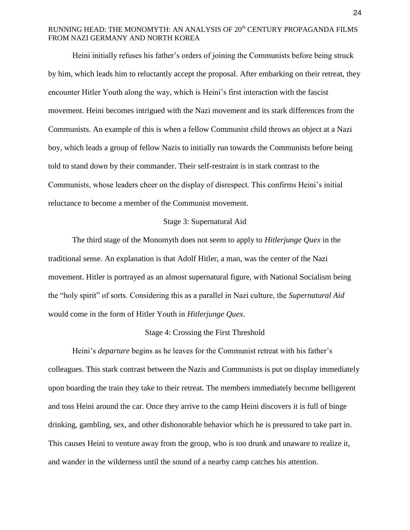Heini initially refuses his father's orders of joining the Communists before being struck by him, which leads him to reluctantly accept the proposal. After embarking on their retreat, they encounter Hitler Youth along the way, which is Heini's first interaction with the fascist movement. Heini becomes intrigued with the Nazi movement and its stark differences from the Communists. An example of this is when a fellow Communist child throws an object at a Nazi boy, which leads a group of fellow Nazis to initially run towards the Communists before being told to stand down by their commander. Their self-restraint is in stark contrast to the Communists, whose leaders cheer on the display of disrespect. This confirms Heini's initial reluctance to become a member of the Communist movement.

#### Stage 3: Supernatural Aid

The third stage of the Monomyth does not seem to apply to *Hitlerjunge Quex* in the traditional sense. An explanation is that Adolf Hitler, a man, was the center of the Nazi movement. Hitler is portrayed as an almost supernatural figure, with National Socialism being the "holy spirit" of sorts. Considering this as a parallel in Nazi culture, the *Supernatural Aid* would come in the form of Hitler Youth in *Hitlerjunge Quex*.

#### Stage 4: Crossing the First Threshold

Heini's *departure* begins as he leaves for the Communist retreat with his father's colleagues. This stark contrast between the Nazis and Communists is put on display immediately upon boarding the train they take to their retreat. The members immediately become belligerent and toss Heini around the car. Once they arrive to the camp Heini discovers it is full of binge drinking, gambling, sex, and other dishonorable behavior which he is pressured to take part in. This causes Heini to venture away from the group, who is too drunk and unaware to realize it, and wander in the wilderness until the sound of a nearby camp catches his attention.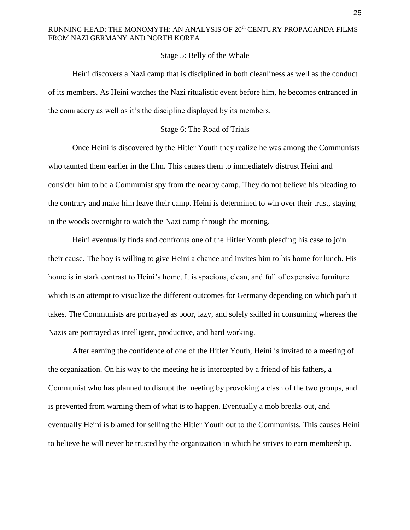## Stage 5: Belly of the Whale

Heini discovers a Nazi camp that is disciplined in both cleanliness as well as the conduct of its members. As Heini watches the Nazi ritualistic event before him, he becomes entranced in the comradery as well as it's the discipline displayed by its members.

### Stage 6: The Road of Trials

Once Heini is discovered by the Hitler Youth they realize he was among the Communists who taunted them earlier in the film. This causes them to immediately distrust Heini and consider him to be a Communist spy from the nearby camp. They do not believe his pleading to the contrary and make him leave their camp. Heini is determined to win over their trust, staying in the woods overnight to watch the Nazi camp through the morning.

Heini eventually finds and confronts one of the Hitler Youth pleading his case to join their cause. The boy is willing to give Heini a chance and invites him to his home for lunch. His home is in stark contrast to Heini's home. It is spacious, clean, and full of expensive furniture which is an attempt to visualize the different outcomes for Germany depending on which path it takes. The Communists are portrayed as poor, lazy, and solely skilled in consuming whereas the Nazis are portrayed as intelligent, productive, and hard working.

After earning the confidence of one of the Hitler Youth, Heini is invited to a meeting of the organization. On his way to the meeting he is intercepted by a friend of his fathers, a Communist who has planned to disrupt the meeting by provoking a clash of the two groups, and is prevented from warning them of what is to happen. Eventually a mob breaks out, and eventually Heini is blamed for selling the Hitler Youth out to the Communists. This causes Heini to believe he will never be trusted by the organization in which he strives to earn membership.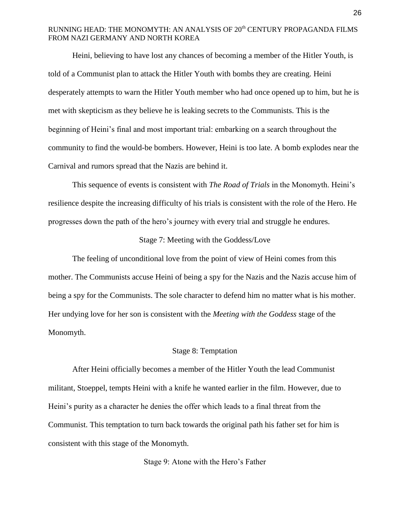Heini, believing to have lost any chances of becoming a member of the Hitler Youth, is told of a Communist plan to attack the Hitler Youth with bombs they are creating. Heini desperately attempts to warn the Hitler Youth member who had once opened up to him, but he is met with skepticism as they believe he is leaking secrets to the Communists. This is the beginning of Heini's final and most important trial: embarking on a search throughout the community to find the would-be bombers. However, Heini is too late. A bomb explodes near the Carnival and rumors spread that the Nazis are behind it.

This sequence of events is consistent with *The Road of Trials* in the Monomyth. Heini's resilience despite the increasing difficulty of his trials is consistent with the role of the Hero. He progresses down the path of the hero's journey with every trial and struggle he endures.

## Stage 7: Meeting with the Goddess/Love

The feeling of unconditional love from the point of view of Heini comes from this mother. The Communists accuse Heini of being a spy for the Nazis and the Nazis accuse him of being a spy for the Communists. The sole character to defend him no matter what is his mother. Her undying love for her son is consistent with the *Meeting with the Goddess* stage of the Monomyth.

#### Stage 8: Temptation

After Heini officially becomes a member of the Hitler Youth the lead Communist militant, Stoeppel, tempts Heini with a knife he wanted earlier in the film. However, due to Heini's purity as a character he denies the offer which leads to a final threat from the Communist. This temptation to turn back towards the original path his father set for him is consistent with this stage of the Monomyth.

Stage 9: Atone with the Hero's Father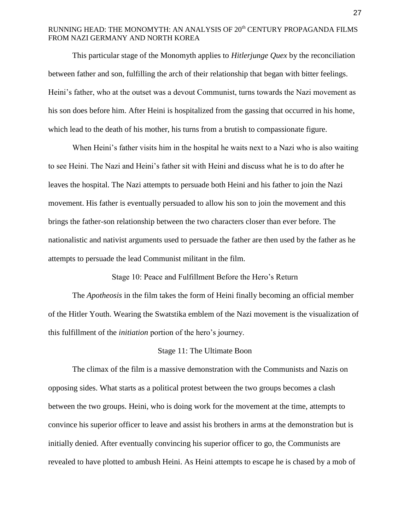This particular stage of the Monomyth applies to *Hitlerjunge Quex* by the reconciliation between father and son, fulfilling the arch of their relationship that began with bitter feelings. Heini's father, who at the outset was a devout Communist, turns towards the Nazi movement as his son does before him. After Heini is hospitalized from the gassing that occurred in his home, which lead to the death of his mother, his turns from a brutish to compassionate figure.

When Heini's father visits him in the hospital he waits next to a Nazi who is also waiting to see Heini. The Nazi and Heini's father sit with Heini and discuss what he is to do after he leaves the hospital. The Nazi attempts to persuade both Heini and his father to join the Nazi movement. His father is eventually persuaded to allow his son to join the movement and this brings the father-son relationship between the two characters closer than ever before. The nationalistic and nativist arguments used to persuade the father are then used by the father as he attempts to persuade the lead Communist militant in the film.

Stage 10: Peace and Fulfillment Before the Hero's Return

The *Apotheosis* in the film takes the form of Heini finally becoming an official member of the Hitler Youth. Wearing the Swatstika emblem of the Nazi movement is the visualization of this fulfillment of the *initiation* portion of the hero's journey.

#### Stage 11: The Ultimate Boon

The climax of the film is a massive demonstration with the Communists and Nazis on opposing sides. What starts as a political protest between the two groups becomes a clash between the two groups. Heini, who is doing work for the movement at the time, attempts to convince his superior officer to leave and assist his brothers in arms at the demonstration but is initially denied. After eventually convincing his superior officer to go, the Communists are revealed to have plotted to ambush Heini. As Heini attempts to escape he is chased by a mob of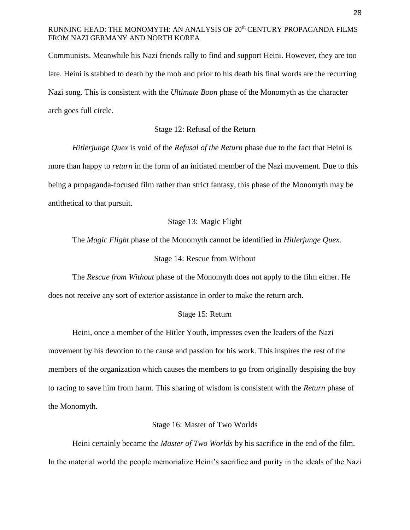Communists. Meanwhile his Nazi friends rally to find and support Heini. However, they are too late. Heini is stabbed to death by the mob and prior to his death his final words are the recurring Nazi song. This is consistent with the *Ultimate Boon* phase of the Monomyth as the character arch goes full circle.

#### Stage 12: Refusal of the Return

*Hitlerjunge Quex* is void of the *Refusal of the Return* phase due to the fact that Heini is more than happy to *return* in the form of an initiated member of the Nazi movement. Due to this being a propaganda-focused film rather than strict fantasy, this phase of the Monomyth may be antithetical to that pursuit.

## Stage 13: Magic Flight

The *Magic Flight* phase of the Monomyth cannot be identified in *Hitlerjunge Quex.* Stage 14: Rescue from Without

The *Rescue from Without* phase of the Monomyth does not apply to the film either. He does not receive any sort of exterior assistance in order to make the return arch.

#### Stage 15: Return

Heini, once a member of the Hitler Youth, impresses even the leaders of the Nazi movement by his devotion to the cause and passion for his work. This inspires the rest of the members of the organization which causes the members to go from originally despising the boy to racing to save him from harm. This sharing of wisdom is consistent with the *Return* phase of the Monomyth.

## Stage 16: Master of Two Worlds

Heini certainly became the *Master of Two Worlds* by his sacrifice in the end of the film. In the material world the people memorialize Heini's sacrifice and purity in the ideals of the Nazi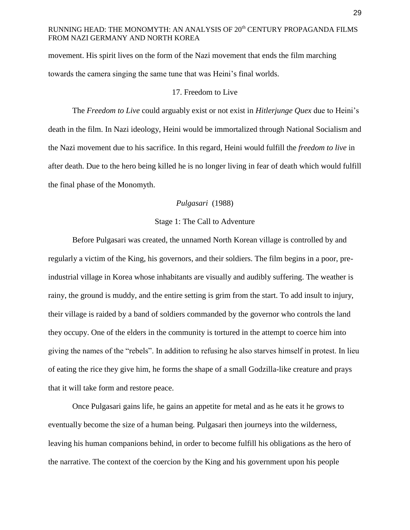movement. His spirit lives on the form of the Nazi movement that ends the film marching towards the camera singing the same tune that was Heini's final worlds.

#### 17. Freedom to Live

The *Freedom to Live* could arguably exist or not exist in *Hitlerjunge Quex* due to Heini's death in the film. In Nazi ideology, Heini would be immortalized through National Socialism and the Nazi movement due to his sacrifice. In this regard, Heini would fulfill the *freedom to live* in after death. Due to the hero being killed he is no longer living in fear of death which would fulfill the final phase of the Monomyth.

#### *Pulgasari* (1988)

#### Stage 1: The Call to Adventure

Before Pulgasari was created, the unnamed North Korean village is controlled by and regularly a victim of the King, his governors, and their soldiers. The film begins in a poor, preindustrial village in Korea whose inhabitants are visually and audibly suffering. The weather is rainy, the ground is muddy, and the entire setting is grim from the start. To add insult to injury, their village is raided by a band of soldiers commanded by the governor who controls the land they occupy. One of the elders in the community is tortured in the attempt to coerce him into giving the names of the "rebels". In addition to refusing he also starves himself in protest. In lieu of eating the rice they give him, he forms the shape of a small Godzilla-like creature and prays that it will take form and restore peace.

Once Pulgasari gains life, he gains an appetite for metal and as he eats it he grows to eventually become the size of a human being. Pulgasari then journeys into the wilderness, leaving his human companions behind, in order to become fulfill his obligations as the hero of the narrative. The context of the coercion by the King and his government upon his people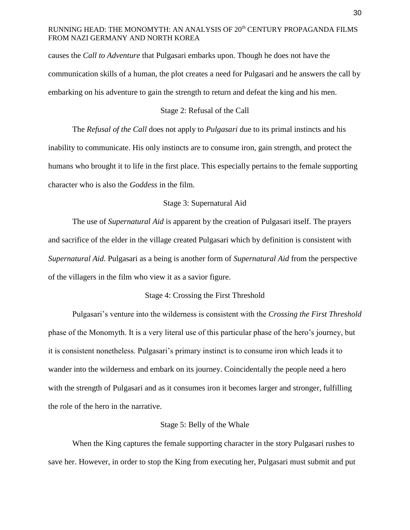causes the *Call to Adventure* that Pulgasari embarks upon. Though he does not have the communication skills of a human, the plot creates a need for Pulgasari and he answers the call by embarking on his adventure to gain the strength to return and defeat the king and his men.

## Stage 2: Refusal of the Call

The *Refusal of the Call* does not apply to *Pulgasari* due to its primal instincts and his inability to communicate. His only instincts are to consume iron, gain strength, and protect the humans who brought it to life in the first place. This especially pertains to the female supporting character who is also the *Goddess* in the film.

#### Stage 3: Supernatural Aid

The use of *Supernatural Aid* is apparent by the creation of Pulgasari itself. The prayers and sacrifice of the elder in the village created Pulgasari which by definition is consistent with *Supernatural Aid*. Pulgasari as a being is another form of *Supernatural Aid* from the perspective of the villagers in the film who view it as a savior figure.

#### Stage 4: Crossing the First Threshold

Pulgasari's venture into the wilderness is consistent with the *Crossing the First Threshold*  phase of the Monomyth. It is a very literal use of this particular phase of the hero's journey, but it is consistent nonetheless. Pulgasari's primary instinct is to consume iron which leads it to wander into the wilderness and embark on its journey. Coincidentally the people need a hero with the strength of Pulgasari and as it consumes iron it becomes larger and stronger, fulfilling the role of the hero in the narrative.

#### Stage 5: Belly of the Whale

When the King captures the female supporting character in the story Pulgasari rushes to save her. However, in order to stop the King from executing her, Pulgasari must submit and put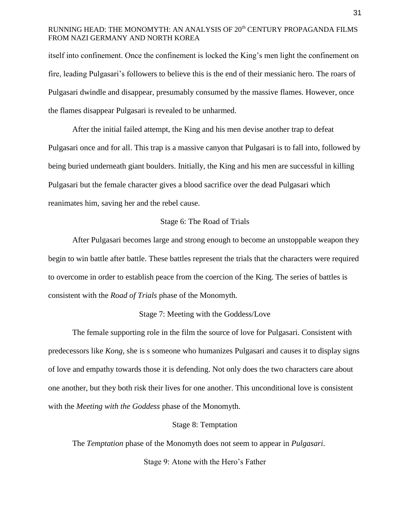itself into confinement. Once the confinement is locked the King's men light the confinement on fire, leading Pulgasari's followers to believe this is the end of their messianic hero. The roars of Pulgasari dwindle and disappear, presumably consumed by the massive flames. However, once the flames disappear Pulgasari is revealed to be unharmed.

After the initial failed attempt, the King and his men devise another trap to defeat Pulgasari once and for all. This trap is a massive canyon that Pulgasari is to fall into, followed by being buried underneath giant boulders. Initially, the King and his men are successful in killing Pulgasari but the female character gives a blood sacrifice over the dead Pulgasari which reanimates him, saving her and the rebel cause.

#### Stage 6: The Road of Trials

After Pulgasari becomes large and strong enough to become an unstoppable weapon they begin to win battle after battle. These battles represent the trials that the characters were required to overcome in order to establish peace from the coercion of the King. The series of battles is consistent with the *Road of Trials* phase of the Monomyth.

#### Stage 7: Meeting with the Goddess/Love

The female supporting role in the film the source of love for Pulgasari. Consistent with predecessors like *Kong*, she is s someone who humanizes Pulgasari and causes it to display signs of love and empathy towards those it is defending. Not only does the two characters care about one another, but they both risk their lives for one another. This unconditional love is consistent with the *Meeting with the Goddess* phase of the Monomyth.

#### Stage 8: Temptation

The *Temptation* phase of the Monomyth does not seem to appear in *Pulgasari*.

Stage 9: Atone with the Hero's Father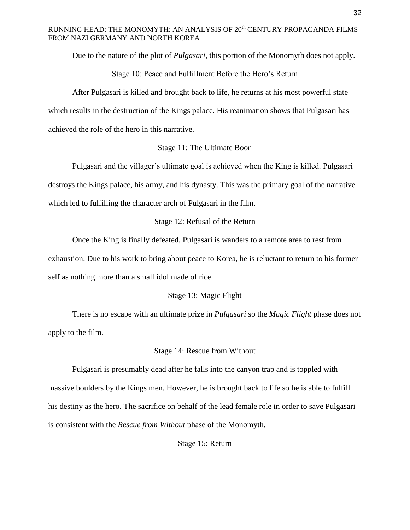Due to the nature of the plot of *Pulgasari*, this portion of the Monomyth does not apply.

Stage 10: Peace and Fulfillment Before the Hero's Return

After Pulgasari is killed and brought back to life, he returns at his most powerful state which results in the destruction of the Kings palace. His reanimation shows that Pulgasari has achieved the role of the hero in this narrative.

## Stage 11: The Ultimate Boon

Pulgasari and the villager's ultimate goal is achieved when the King is killed. Pulgasari destroys the Kings palace, his army, and his dynasty. This was the primary goal of the narrative which led to fulfilling the character arch of Pulgasari in the film.

### Stage 12: Refusal of the Return

Once the King is finally defeated, Pulgasari is wanders to a remote area to rest from exhaustion. Due to his work to bring about peace to Korea, he is reluctant to return to his former self as nothing more than a small idol made of rice.

### Stage 13: Magic Flight

There is no escape with an ultimate prize in *Pulgasari* so the *Magic Flight* phase does not apply to the film.

#### Stage 14: Rescue from Without

Pulgasari is presumably dead after he falls into the canyon trap and is toppled with massive boulders by the Kings men. However, he is brought back to life so he is able to fulfill his destiny as the hero. The sacrifice on behalf of the lead female role in order to save Pulgasari is consistent with the *Rescue from Without* phase of the Monomyth.

Stage 15: Return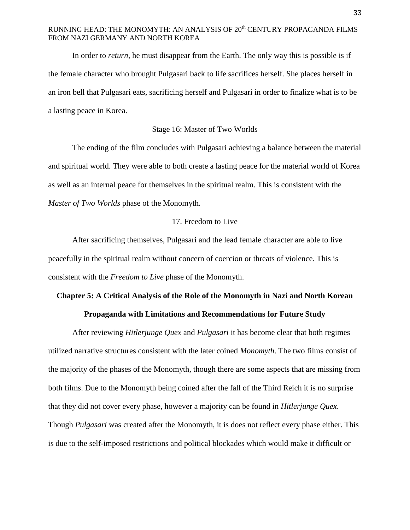In order to *return*, he must disappear from the Earth. The only way this is possible is if the female character who brought Pulgasari back to life sacrifices herself. She places herself in an iron bell that Pulgasari eats, sacrificing herself and Pulgasari in order to finalize what is to be a lasting peace in Korea.

#### Stage 16: Master of Two Worlds

The ending of the film concludes with Pulgasari achieving a balance between the material and spiritual world. They were able to both create a lasting peace for the material world of Korea as well as an internal peace for themselves in the spiritual realm. This is consistent with the *Master of Two Worlds* phase of the Monomyth.

### 17. Freedom to Live

After sacrificing themselves, Pulgasari and the lead female character are able to live peacefully in the spiritual realm without concern of coercion or threats of violence. This is consistent with the *Freedom to Live* phase of the Monomyth.

#### **Chapter 5: A Critical Analysis of the Role of the Monomyth in Nazi and North Korean**

### **Propaganda with Limitations and Recommendations for Future Study**

After reviewing *Hitlerjunge Quex* and *Pulgasari* it has become clear that both regimes utilized narrative structures consistent with the later coined *Monomyth*. The two films consist of the majority of the phases of the Monomyth, though there are some aspects that are missing from both films. Due to the Monomyth being coined after the fall of the Third Reich it is no surprise that they did not cover every phase, however a majority can be found in *Hitlerjunge Quex*. Though *Pulgasari* was created after the Monomyth, it is does not reflect every phase either. This is due to the self-imposed restrictions and political blockades which would make it difficult or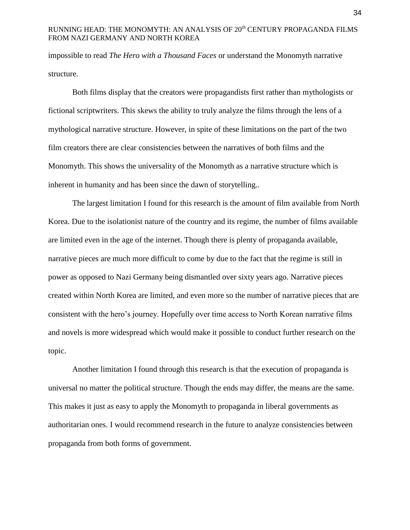impossible to read *The Hero with a Thousand Faces* or understand the Monomyth narrative structure.

Both films display that the creators were propagandists first rather than mythologists or fictional scriptwriters. This skews the ability to truly analyze the films through the lens of a mythological narrative structure. However, in spite of these limitations on the part of the two film creators there are clear consistencies between the narratives of both films and the Monomyth. This shows the universality of the Monomyth as a narrative structure which is inherent in humanity and has been since the dawn of storytelling..

The largest limitation I found for this research is the amount of film available from North Korea. Due to the isolationist nature of the country and its regime, the number of films available are limited even in the age of the internet. Though there is plenty of propaganda available, narrative pieces are much more difficult to come by due to the fact that the regime is still in power as opposed to Nazi Germany being dismantled over sixty years ago. Narrative pieces created within North Korea are limited, and even more so the number of narrative pieces that are consistent with the hero's journey. Hopefully over time access to North Korean narrative films and novels is more widespread which would make it possible to conduct further research on the topic.

Another limitation I found through this research is that the execution of propaganda is universal no matter the political structure. Though the ends may differ, the means are the same. This makes it just as easy to apply the Monomyth to propaganda in liberal governments as authoritarian ones. I would recommend research in the future to analyze consistencies between propaganda from both forms of government.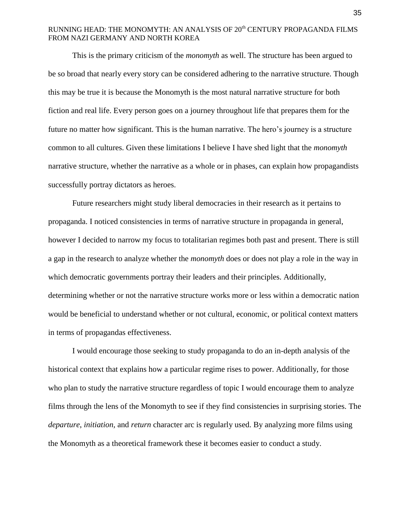This is the primary criticism of the *monomyth* as well. The structure has been argued to be so broad that nearly every story can be considered adhering to the narrative structure. Though this may be true it is because the Monomyth is the most natural narrative structure for both fiction and real life. Every person goes on a journey throughout life that prepares them for the future no matter how significant. This is the human narrative. The hero's journey is a structure common to all cultures. Given these limitations I believe I have shed light that the *monomyth*  narrative structure, whether the narrative as a whole or in phases, can explain how propagandists successfully portray dictators as heroes.

Future researchers might study liberal democracies in their research as it pertains to propaganda. I noticed consistencies in terms of narrative structure in propaganda in general, however I decided to narrow my focus to totalitarian regimes both past and present. There is still a gap in the research to analyze whether the *monomyth* does or does not play a role in the way in which democratic governments portray their leaders and their principles. Additionally, determining whether or not the narrative structure works more or less within a democratic nation would be beneficial to understand whether or not cultural, economic, or political context matters in terms of propagandas effectiveness.

I would encourage those seeking to study propaganda to do an in-depth analysis of the historical context that explains how a particular regime rises to power. Additionally, for those who plan to study the narrative structure regardless of topic I would encourage them to analyze films through the lens of the Monomyth to see if they find consistencies in surprising stories. The *departure*, *initiation,* and *return* character arc is regularly used. By analyzing more films using the Monomyth as a theoretical framework these it becomes easier to conduct a study.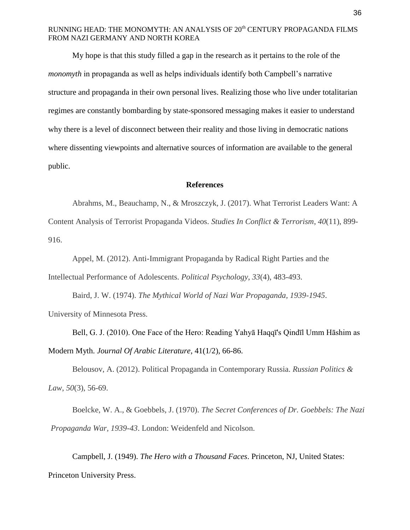My hope is that this study filled a gap in the research as it pertains to the role of the *monomyth* in propaganda as well as helps individuals identify both Campbell's narrative structure and propaganda in their own personal lives. Realizing those who live under totalitarian regimes are constantly bombarding by state-sponsored messaging makes it easier to understand why there is a level of disconnect between their reality and those living in democratic nations where dissenting viewpoints and alternative sources of information are available to the general public.

#### **References**

Abrahms, M., Beauchamp, N., & Mroszczyk, J. (2017). What Terrorist Leaders Want: A Content Analysis of Terrorist Propaganda Videos. *Studies In Conflict & Terrorism*, *40*(11), 899- 916.

Appel, M. (2012). Anti-Immigrant Propaganda by Radical Right Parties and the Intellectual Performance of Adolescents. *Political Psychology*, *33*(4), 483-493.

Baird, J. W. (1974). *The Mythical World of Nazi War Propaganda, 1939-1945*. University of Minnesota Press.

Bell, G. J. (2010). One Face of the Hero: Reading Yahyā Haqqī's Qindīl Umm Hāshim as Modern Myth. *Journal Of Arabic Literature*, 41(1/2), 66-86.

Belousov, A. (2012). Political Propaganda in Contemporary Russia. *Russian Politics & Law*, *50*(3), 56-69.

Boelcke, W. A., & Goebbels, J. (1970). *The Secret Conferences of Dr. Goebbels: The Nazi Propaganda War, 1939-43*. London: Weidenfeld and Nicolson.

Campbell, J. (1949). *The Hero with a Thousand Faces*. Princeton, NJ, United States: Princeton University Press.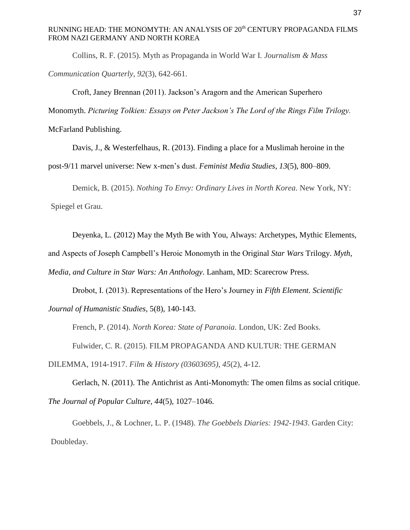Collins, R. F. (2015). Myth as Propaganda in World War I. *Journalism & Mass Communication Quarterly*, *92*(3), 642-661.

Croft, Janey Brennan (2011). Jackson's Aragorn and the American Superhero Monomyth. *Picturing Tolkien: Essays on Peter Jackson's The Lord of the Rings Film Trilogy.* 

McFarland Publishing.

Davis, J., & Westerfelhaus, R. (2013). Finding a place for a Muslimah heroine in the post-9/11 marvel universe: New x-men's dust. *Feminist Media Studies*, *13*(5), 800–809.

Demick, B. (2015). *Nothing To Envy: Ordinary Lives in North Korea*. New York, NY: Spiegel et Grau.

Deyenka, L. (2012) May the Myth Be with You, Always: Archetypes, Mythic Elements,

and Aspects of Joseph Campbell's Heroic Monomyth in the Original *Star Wars* Trilogy. *Myth,* 

*Media, and Culture in Star Wars: An Anthology*. Lanham, MD: Scarecrow Press.

Drobot, I. (2013). Representations of the Hero's Journey in *Fifth Element*. *Scientific Journal of Humanistic Studies*, 5(8), 140-143.

French, P. (2014). *North Korea: State of Paranoia*. London, UK: Zed Books. Fulwider, C. R. (2015). FILM PROPAGANDA AND KULTUR: THE GERMAN DILEMMA, 1914-1917. *Film & History (03603695)*, *45*(2), 4-12.

Gerlach, N. (2011). The Antichrist as Anti-Monomyth: The omen films as social critique. *The Journal of Popular Culture*, *44*(5), 1027–1046.

Goebbels, J., & Lochner, L. P. (1948). *The Goebbels Diaries: 1942-1943*. Garden City: Doubleday.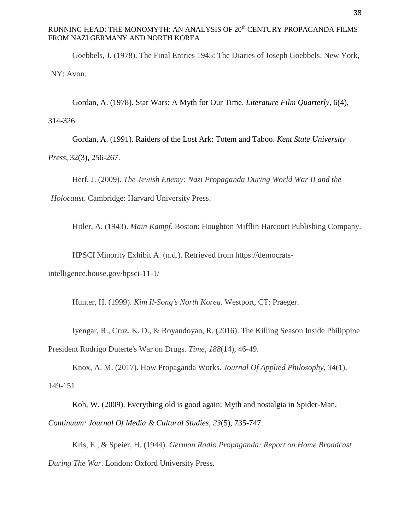Goebbels, J. (1978). The Final Entries 1945: The Diaries of Joseph Goebbels. New York, NY: Avon.

Gordan, A. (1978). Star Wars: A Myth for Our Time. *Literature Film Quarterly*, 6(4),

314-326.

Gordan, A. (1991). Raiders of the Lost Ark: Totem and Taboo. *Kent State University Press*, 32(3), 256-267.

Herf, J. (2009). *The Jewish Enemy: Nazi Propaganda During World War II and the Holocaust*. Cambridge: Harvard University Press.

Hitler, A. (1943). *Main Kampf*. Boston: Houghton Mifflin Harcourt Publishing Company.

HPSCI Minority Exhibit A. (n.d.). Retrieved from https://democratsintelligence.house.gov/hpsci-11-1/

Hunter, H. (1999). *Kim Il-Song's North Korea*. Westport, CT: Praeger.

Iyengar, R., Cruz, K. D., & Royandoyan, R. (2016). The Killing Season Inside Philippine President Rodrigo Duterte's War on Drugs. *Time*, *188*(14), 46-49.

Knox, A. M. (2017). How Propaganda Works. *Journal Of Applied Philosophy*, *34*(1), 149-151.

Koh, W. (2009). Everything old is good again: Myth and nostalgia in Spider-Man. *Continuum: Journal Of Media & Cultural Studies*, *23*(5), 735-747.

Kris, E., & Speier, H. (1944). *German Radio Propaganda: Report on Home Broadcast During The War*. London: Oxford University Press.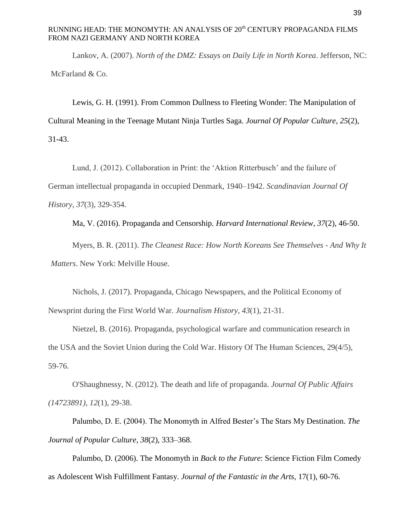Lankov, A. (2007). *North of the DMZ: Essays on Daily Life in North Korea*. Jefferson, NC: McFarland & Co.

Lewis, G. H. (1991). From Common Dullness to Fleeting Wonder: The Manipulation of Cultural Meaning in the Teenage Mutant Ninja Turtles Saga. *Journal Of Popular Culture*, *25*(2), 31-43.

Lund, J. (2012). Collaboration in Print: the 'Aktion Ritterbusch' and the failure of German intellectual propaganda in occupied Denmark, 1940–1942. *Scandinavian Journal Of History*, *37*(3), 329-354.

Ma, V. (2016). Propaganda and Censorship. *Harvard International Review*, *37*(2), 46-50.

Myers, B. R. (2011). *The Cleanest Race: How North Koreans See Themselves - And Why It Matters*. New York: Melville House.

Nichols, J. (2017). Propaganda, Chicago Newspapers, and the Political Economy of Newsprint during the First World War. *Journalism History*, *43*(1), 21-31.

Nietzel, B. (2016). Propaganda, psychological warfare and communication research in the USA and the Soviet Union during the Cold War. History Of The Human Sciences, 29(4/5), 59-76.

O'Shaughnessy, N. (2012). The death and life of propaganda. *Journal Of Public Affairs (14723891)*, *12*(1), 29-38.

Palumbo, D. E. (2004). The Monomyth in Alfred Bester's The Stars My Destination. *The Journal of Popular Culture*, *38*(2), 333–368.

Palumbo, D. (2006). The Monomyth in *Back to the Future*: Science Fiction Film Comedy as Adolescent Wish Fulfillment Fantasy. *Journal of the Fantastic in the Arts*, 17(1), 60-76.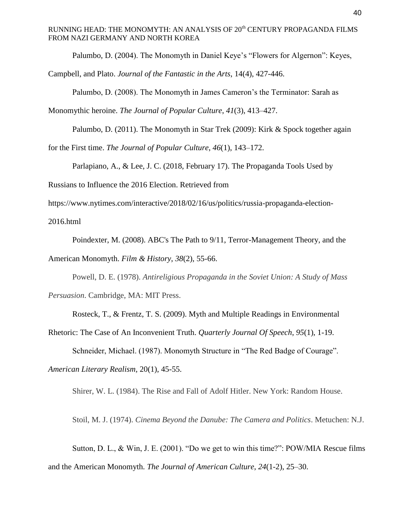Palumbo, D. (2004). The Monomyth in Daniel Keye's "Flowers for Algernon": Keyes,

Campbell, and Plato. *Journal of the Fantastic in the Arts*, 14(4), 427-446.

Palumbo, D. (2008). The Monomyth in James Cameron's the Terminator: Sarah as

Monomythic heroine. *The Journal of Popular Culture*, *41*(3), 413–427.

Palumbo, D. (2011). The Monomyth in Star Trek (2009): Kirk & Spock together again

for the First time. *The Journal of Popular Culture*, *46*(1), 143–172.

Parlapiano, A., & Lee, J. C. (2018, February 17). The Propaganda Tools Used by

Russians to Influence the 2016 Election. Retrieved from

https://www.nytimes.com/interactive/2018/02/16/us/politics/russia-propaganda-election-

2016.html

Poindexter, M. (2008). ABC's The Path to 9/11, Terror-Management Theory, and the American Monomyth. *Film & History*, *38*(2), 55-66.

Powell, D. E. (1978). *Antireligious Propaganda in the Soviet Union: A Study of Mass* 

*Persuasion*. Cambridge, MA: MIT Press.

Rosteck, T., & Frentz, T. S. (2009). Myth and Multiple Readings in Environmental

Rhetoric: The Case of An Inconvenient Truth. *Quarterly Journal Of Speech*, *95*(1), 1-19.

Schneider, Michael. (1987). Monomyth Structure in "The Red Badge of Courage".

*American Literary Realism,* 20(1), 45-55.

Shirer, W. L. (1984). The Rise and Fall of Adolf Hitler. New York: Random House.

Stoil, M. J. (1974). *Cinema Beyond the Danube: The Camera and Politics*. Metuchen: N.J.

Sutton, D. L., & Win, J. E. (2001). "Do we get to win this time?": POW/MIA Rescue films and the American Monomyth. *The Journal of American Culture*, *24*(1-2), 25–30.